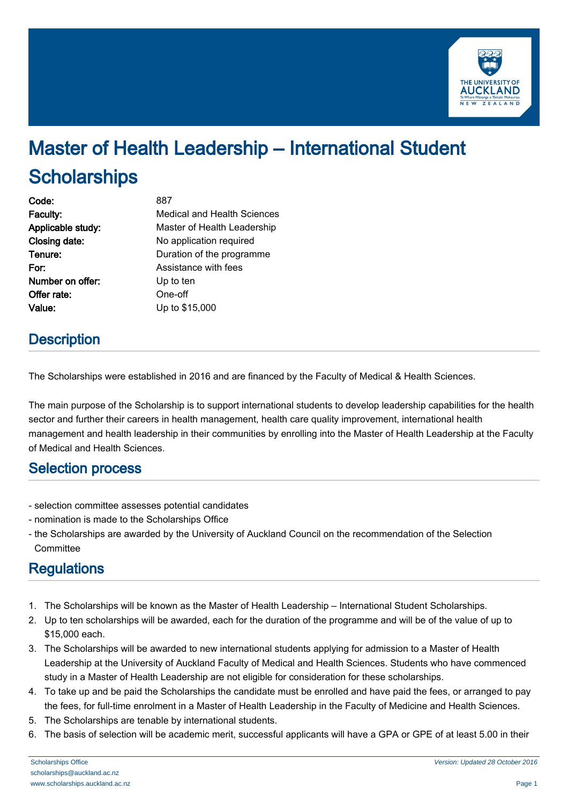

# Master of Health Leadership – International Student **Scholarships**

| Code:             | 887                         |
|-------------------|-----------------------------|
| Faculty:          | Medical and Health Sciences |
| Applicable study: | Master of Health Leadership |
| Closing date:     | No application required     |
| Tenure:           | Duration of the programme   |
| For:              | Assistance with fees        |
| Number on offer:  | Up to ten                   |
| Offer rate:       | One-off                     |
| Value:            | Up to \$15,000              |
|                   |                             |

### **Description**

The Scholarships were established in 2016 and are financed by the Faculty of Medical & Health Sciences.

The main purpose of the Scholarship is to support international students to develop leadership capabilities for the health sector and further their careers in health management, health care quality improvement, international health management and health leadership in their communities by enrolling into the Master of Health Leadership at the Faculty of Medical and Health Sciences.

#### Selection process

- selection committee assesses potential candidates
- nomination is made to the Scholarships Office
- the Scholarships are awarded by the University of Auckland Council on the recommendation of the Selection **Committee**

## **Regulations**

- 1. The Scholarships will be known as the Master of Health Leadership International Student Scholarships.
- 2. Up to ten scholarships will be awarded, each for the duration of the programme and will be of the value of up to \$15,000 each.
- 3. The Scholarships will be awarded to new international students applying for admission to a Master of Health Leadership at the University of Auckland Faculty of Medical and Health Sciences. Students who have commenced study in a Master of Health Leadership are not eligible for consideration for these scholarships.
- 4. To take up and be paid the Scholarships the candidate must be enrolled and have paid the fees, or arranged to pay the fees, for full-time enrolment in a Master of Health Leadership in the Faculty of Medicine and Health Sciences.
- 5. The Scholarships are tenable by international students.
- 6. The basis of selection will be academic merit, successful applicants will have a GPA or GPE of at least 5.00 in their